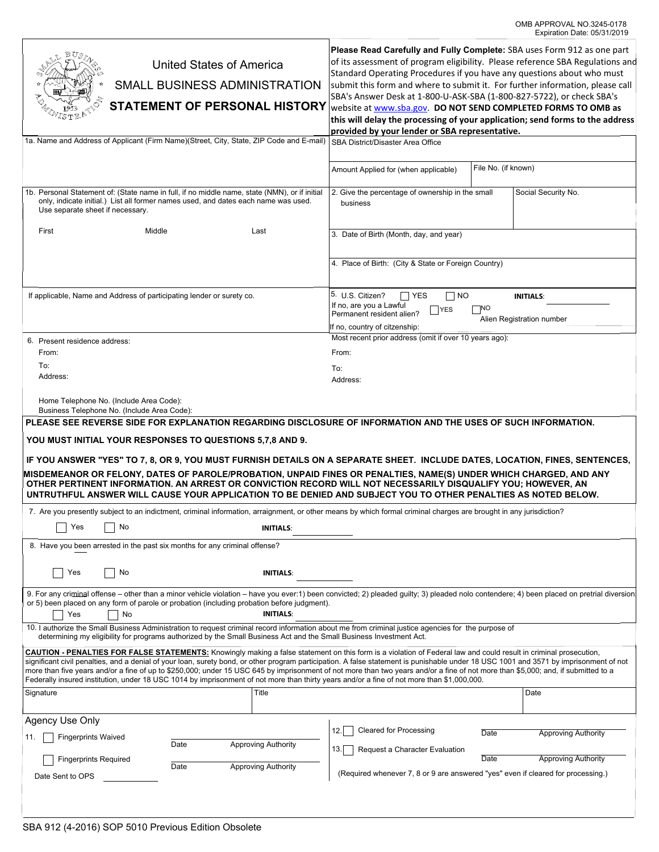| United States of America<br>SMALL BUSINESS ADMINISTRATION<br><b>STATEMENT OF PERSONAL HISTORY</b><br>Vistr<br>1a. Name and Address of Applicant (Firm Name)(Street, City, State, ZIP Code and E-mail)<br>1b. Personal Statement of: (State name in full, if no middle name, state (NMN), or if initial<br>only, indicate initial.) List all former names used, and dates each name was used.<br>Use separate sheet if necessary.<br>First<br>Middle<br>Last                                                                                                                                                                                                                                                    |                                                          | Please Read Carefully and Fully Complete: SBA uses Form 912 as one part<br>of its assessment of program eligibility. Please reference SBA Regulations and<br>Standard Operating Procedures if you have any questions about who must<br>submit this form and where to submit it. For further information, please call<br>SBA's Answer Desk at 1-800-U-ASK-SBA (1-800-827-5722), or check SBA's<br>website at www.sba.gov. DO NOT SEND COMPLETED FORMS TO OMB as<br>this will delay the processing of your application; send forms to the address<br>provided by your lender or SBA representative.<br>SBA District/Disaster Area Office<br>File No. (if known)<br>Amount Applied for (when applicable)<br>2. Give the percentage of ownership in the small<br>Social Security No.<br>business<br>3. Date of Birth (Month, day, and year) |              |                                                          |
|----------------------------------------------------------------------------------------------------------------------------------------------------------------------------------------------------------------------------------------------------------------------------------------------------------------------------------------------------------------------------------------------------------------------------------------------------------------------------------------------------------------------------------------------------------------------------------------------------------------------------------------------------------------------------------------------------------------|----------------------------------------------------------|-----------------------------------------------------------------------------------------------------------------------------------------------------------------------------------------------------------------------------------------------------------------------------------------------------------------------------------------------------------------------------------------------------------------------------------------------------------------------------------------------------------------------------------------------------------------------------------------------------------------------------------------------------------------------------------------------------------------------------------------------------------------------------------------------------------------------------------------|--------------|----------------------------------------------------------|
|                                                                                                                                                                                                                                                                                                                                                                                                                                                                                                                                                                                                                                                                                                                |                                                          | 4. Place of Birth: (City & State or Foreign Country)                                                                                                                                                                                                                                                                                                                                                                                                                                                                                                                                                                                                                                                                                                                                                                                    |              |                                                          |
| If applicable, Name and Address of participating lender or surety co.                                                                                                                                                                                                                                                                                                                                                                                                                                                                                                                                                                                                                                          |                                                          | 5. U.S. Citizen?<br>$\Box$ Yes<br>$\Box$ No<br><b>INITIALS:</b><br>If no, are you a Lawful<br>⊺NO<br>YES<br>Permanent resident alien?<br>Alien Registration number<br>If no, country of citzenship:                                                                                                                                                                                                                                                                                                                                                                                                                                                                                                                                                                                                                                     |              |                                                          |
| 6. Present residence address:<br>From:<br>To:<br>Address:<br>Home Telephone No. (Include Area Code):                                                                                                                                                                                                                                                                                                                                                                                                                                                                                                                                                                                                           |                                                          | Most recent prior address (omit if over 10 years ago):<br>From:<br>To:<br>Address:                                                                                                                                                                                                                                                                                                                                                                                                                                                                                                                                                                                                                                                                                                                                                      |              |                                                          |
| Business Telephone No. (Include Area Code):<br>PLEASE SEE REVERSE SIDE FOR EXPLANATION REGARDING DISCLOSURE OF INFORMATION AND THE USES OF SUCH INFORMATION.<br>YOU MUST INITIAL YOUR RESPONSES TO QUESTIONS 5,7,8 AND 9.<br>IF YOU ANSWER "YES" TO 7, 8, OR 9, YOU MUST FURNISH DETAILS ON A SEPARATE SHEET. INCLUDE DATES, LOCATION, FINES, SENTENCES,<br>MISDEMEANOR OR FELONY, DATES OF PAROLE/PROBATION, UNPAID FINES OR PENALTIES, NAME(S) UNDER WHICH CHARGED, AND ANY<br>OTHER PERTINENT INFORMATION. AN ARREST OR CONVICTION RECORD WILL NOT NECESSARILY DISQUALIFY YOU; HOWEVER, AN<br>UNTRUTHFUL ANSWER WILL CAUSE YOUR APPLICATION TO BE DENIED AND SUBJECT YOU TO OTHER PENALTIES AS NOTED BELOW. |                                                          |                                                                                                                                                                                                                                                                                                                                                                                                                                                                                                                                                                                                                                                                                                                                                                                                                                         |              |                                                          |
| 7. Are you presently subject to an indictment, criminal information, arraignment, or other means by which formal criminal charges are brought in any jurisdiction?<br>$\Box$ Yes<br>No<br><b>INITIALS:</b>                                                                                                                                                                                                                                                                                                                                                                                                                                                                                                     |                                                          |                                                                                                                                                                                                                                                                                                                                                                                                                                                                                                                                                                                                                                                                                                                                                                                                                                         |              |                                                          |
| 8. Have you been arrested in the past six months for any criminal offense?<br>Yes<br>No<br><b>INITIALS:</b>                                                                                                                                                                                                                                                                                                                                                                                                                                                                                                                                                                                                    |                                                          |                                                                                                                                                                                                                                                                                                                                                                                                                                                                                                                                                                                                                                                                                                                                                                                                                                         |              |                                                          |
| 9. For any criminal offense – other than a minor vehicle violation – have you ever:1) been convicted; 2) pleaded guilty; 3) pleaded nolo contendere; 4) been placed on pretrial diversion<br>or 5) been placed on any form of parole or probation (including probation before judgment).<br><b>INITIALS:</b><br>Yes<br>No                                                                                                                                                                                                                                                                                                                                                                                      |                                                          |                                                                                                                                                                                                                                                                                                                                                                                                                                                                                                                                                                                                                                                                                                                                                                                                                                         |              |                                                          |
| 10. I authorize the Small Business Administration to request criminal record information about me from criminal justice agencies for the purpose of<br>determining my eligibility for programs authorized by the Small Business Act and the Small Business Investment Act.                                                                                                                                                                                                                                                                                                                                                                                                                                     |                                                          |                                                                                                                                                                                                                                                                                                                                                                                                                                                                                                                                                                                                                                                                                                                                                                                                                                         |              |                                                          |
| <b>CAUTION - PENALTIES FOR FALSE STATEMENTS:</b> Knowingly making a false statement on this form is a violation of Federal law and could result in criminal prosecution,<br>significant civil penalties, and a denial of your loan, surety bond, or other program participation. A false statement is punishable under 18 USC 1001 and 3571 by imprisonment of not<br>more than five years and/or a fine of up to \$250,000; under 15 USC 645 by imprisonment of not more than two years and/or a fine of not more than \$5,000; and, if submitted to a<br>Federally insured institution, under 18 USC 1014 by imprisonment of not more than thirty years and/or a fine of not more than \$1,000,000.          |                                                          |                                                                                                                                                                                                                                                                                                                                                                                                                                                                                                                                                                                                                                                                                                                                                                                                                                         |              |                                                          |
| Signature                                                                                                                                                                                                                                                                                                                                                                                                                                                                                                                                                                                                                                                                                                      | Title                                                    |                                                                                                                                                                                                                                                                                                                                                                                                                                                                                                                                                                                                                                                                                                                                                                                                                                         |              | Date                                                     |
| Agency Use Only<br><b>Fingerprints Waived</b><br>Date<br><b>Fingerprints Required</b><br>Date<br>Date Sent to OPS                                                                                                                                                                                                                                                                                                                                                                                                                                                                                                                                                                                              | <b>Approving Authority</b><br><b>Approving Authority</b> | <b>Cleared for Processing</b><br>12.<br>13. <br>Request a Character Evaluation<br>(Required whenever 7, 8 or 9 are answered "yes" even if cleared for processing.)                                                                                                                                                                                                                                                                                                                                                                                                                                                                                                                                                                                                                                                                      | Date<br>Date | <b>Approving Authority</b><br><b>Approving Authority</b> |
|                                                                                                                                                                                                                                                                                                                                                                                                                                                                                                                                                                                                                                                                                                                |                                                          |                                                                                                                                                                                                                                                                                                                                                                                                                                                                                                                                                                                                                                                                                                                                                                                                                                         |              |                                                          |